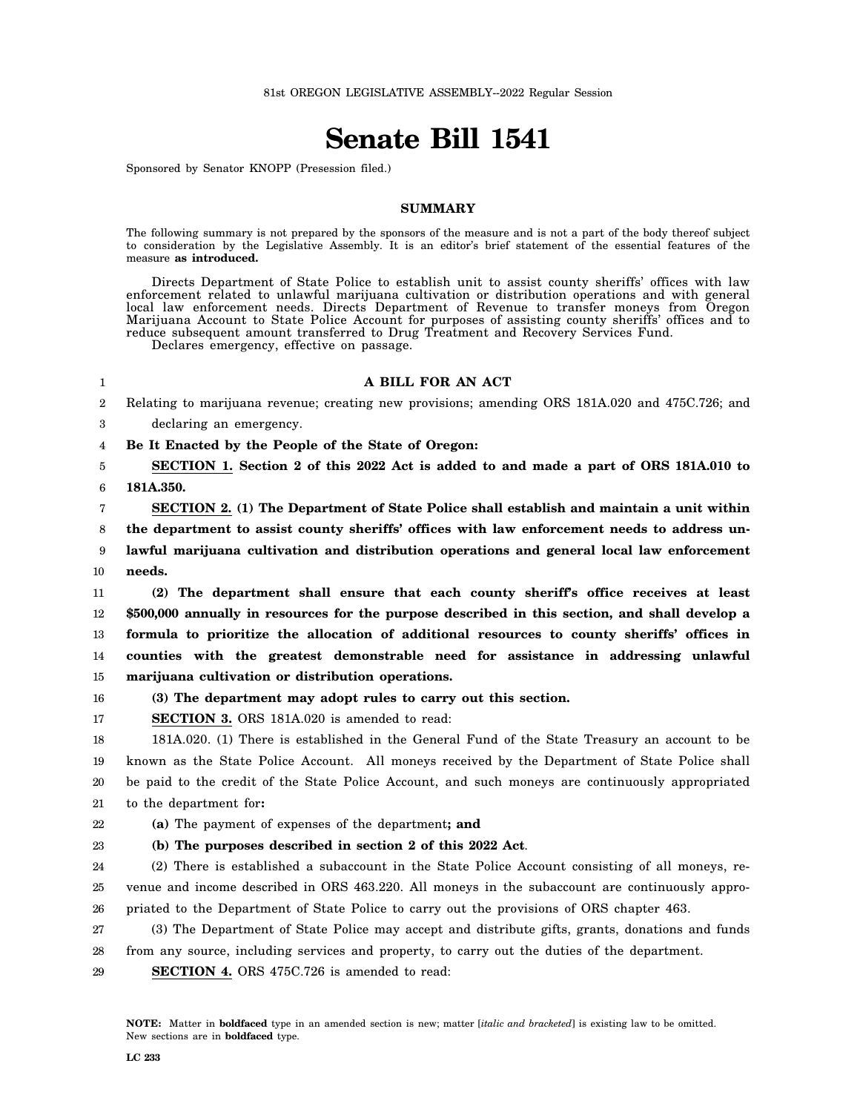# **Senate Bill 1541**

Sponsored by Senator KNOPP (Presession filed.)

# **SUMMARY**

The following summary is not prepared by the sponsors of the measure and is not a part of the body thereof subject to consideration by the Legislative Assembly. It is an editor's brief statement of the essential features of the measure **as introduced.**

Directs Department of State Police to establish unit to assist county sheriffs' offices with law enforcement related to unlawful marijuana cultivation or distribution operations and with general local law enforcement needs. Directs Department of Revenue to transfer moneys from Oregon Marijuana Account to State Police Account for purposes of assisting county sheriffs' offices and to reduce subsequent amount transferred to Drug Treatment and Recovery Services Fund.

Declares emergency, effective on passage.

## **A BILL FOR AN ACT**

2 Relating to marijuana revenue; creating new provisions; amending ORS 181A.020 and 475C.726; and

3 declaring an emergency.

4 **Be It Enacted by the People of the State of Oregon:**

5 6 **SECTION 1. Section 2 of this 2022 Act is added to and made a part of ORS 181A.010 to 181A.350.**

1

7 8 9 10 **SECTION 2. (1) The Department of State Police shall establish and maintain a unit within the department to assist county sheriffs' offices with law enforcement needs to address unlawful marijuana cultivation and distribution operations and general local law enforcement needs.**

11 12 13 14 15 **(2) The department shall ensure that each county sheriff's office receives at least \$500,000 annually in resources for the purpose described in this section, and shall develop a formula to prioritize the allocation of additional resources to county sheriffs' offices in counties with the greatest demonstrable need for assistance in addressing unlawful marijuana cultivation or distribution operations.**

16 **(3) The department may adopt rules to carry out this section.**

17 **SECTION 3.** ORS 181A.020 is amended to read:

18 19 20 21 181A.020. (1) There is established in the General Fund of the State Treasury an account to be known as the State Police Account. All moneys received by the Department of State Police shall be paid to the credit of the State Police Account, and such moneys are continuously appropriated to the department for**:**

22 **(a)** The payment of expenses of the department**; and**

#### **(b) The purposes described in section 2 of this 2022 Act**.

24 25 26 (2) There is established a subaccount in the State Police Account consisting of all moneys, revenue and income described in ORS 463.220. All moneys in the subaccount are continuously appropriated to the Department of State Police to carry out the provisions of ORS chapter 463.

27 (3) The Department of State Police may accept and distribute gifts, grants, donations and funds

28 from any source, including services and property, to carry out the duties of the department.

29 **SECTION 4.** ORS 475C.726 is amended to read:

23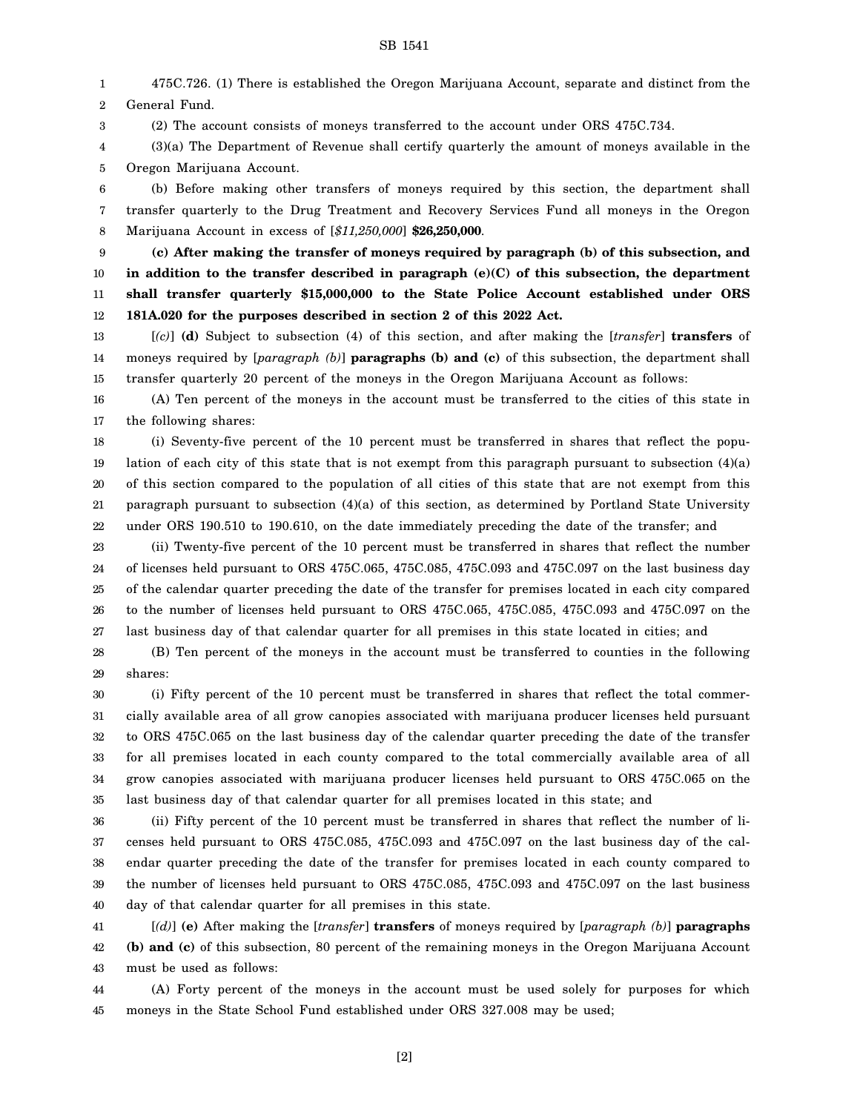## SB 1541

1 2 475C.726. (1) There is established the Oregon Marijuana Account, separate and distinct from the General Fund.

(2) The account consists of moneys transferred to the account under ORS 475C.734.

3

4 5 (3)(a) The Department of Revenue shall certify quarterly the amount of moneys available in the Oregon Marijuana Account.

6 7 8 (b) Before making other transfers of moneys required by this section, the department shall transfer quarterly to the Drug Treatment and Recovery Services Fund all moneys in the Oregon Marijuana Account in excess of [*\$11,250,000*] **\$26,250,000**.

9 10 11 12 **(c) After making the transfer of moneys required by paragraph (b) of this subsection, and in addition to the transfer described in paragraph (e)(C) of this subsection, the department shall transfer quarterly \$15,000,000 to the State Police Account established under ORS 181A.020 for the purposes described in section 2 of this 2022 Act.**

13 14 15 [*(c)*] **(d)** Subject to subsection (4) of this section, and after making the [*transfer*] **transfers** of moneys required by [*paragraph (b)*] **paragraphs (b) and (c)** of this subsection, the department shall transfer quarterly 20 percent of the moneys in the Oregon Marijuana Account as follows:

16 17 (A) Ten percent of the moneys in the account must be transferred to the cities of this state in the following shares:

18 19 20 21 22 (i) Seventy-five percent of the 10 percent must be transferred in shares that reflect the population of each city of this state that is not exempt from this paragraph pursuant to subsection (4)(a) of this section compared to the population of all cities of this state that are not exempt from this paragraph pursuant to subsection (4)(a) of this section, as determined by Portland State University under ORS 190.510 to 190.610, on the date immediately preceding the date of the transfer; and

23 24 25 26 27 (ii) Twenty-five percent of the 10 percent must be transferred in shares that reflect the number of licenses held pursuant to ORS 475C.065, 475C.085, 475C.093 and 475C.097 on the last business day of the calendar quarter preceding the date of the transfer for premises located in each city compared to the number of licenses held pursuant to ORS 475C.065, 475C.085, 475C.093 and 475C.097 on the last business day of that calendar quarter for all premises in this state located in cities; and

28 29 (B) Ten percent of the moneys in the account must be transferred to counties in the following shares:

30 31 32 33 34 35 (i) Fifty percent of the 10 percent must be transferred in shares that reflect the total commercially available area of all grow canopies associated with marijuana producer licenses held pursuant to ORS 475C.065 on the last business day of the calendar quarter preceding the date of the transfer for all premises located in each county compared to the total commercially available area of all grow canopies associated with marijuana producer licenses held pursuant to ORS 475C.065 on the last business day of that calendar quarter for all premises located in this state; and

36 37 38 39 40 (ii) Fifty percent of the 10 percent must be transferred in shares that reflect the number of licenses held pursuant to ORS 475C.085, 475C.093 and 475C.097 on the last business day of the calendar quarter preceding the date of the transfer for premises located in each county compared to the number of licenses held pursuant to ORS 475C.085, 475C.093 and 475C.097 on the last business day of that calendar quarter for all premises in this state.

41 42 43 [*(d)*] **(e)** After making the [*transfer*] **transfers** of moneys required by [*paragraph (b)*] **paragraphs (b) and (c)** of this subsection, 80 percent of the remaining moneys in the Oregon Marijuana Account must be used as follows:

44 45 (A) Forty percent of the moneys in the account must be used solely for purposes for which moneys in the State School Fund established under ORS 327.008 may be used;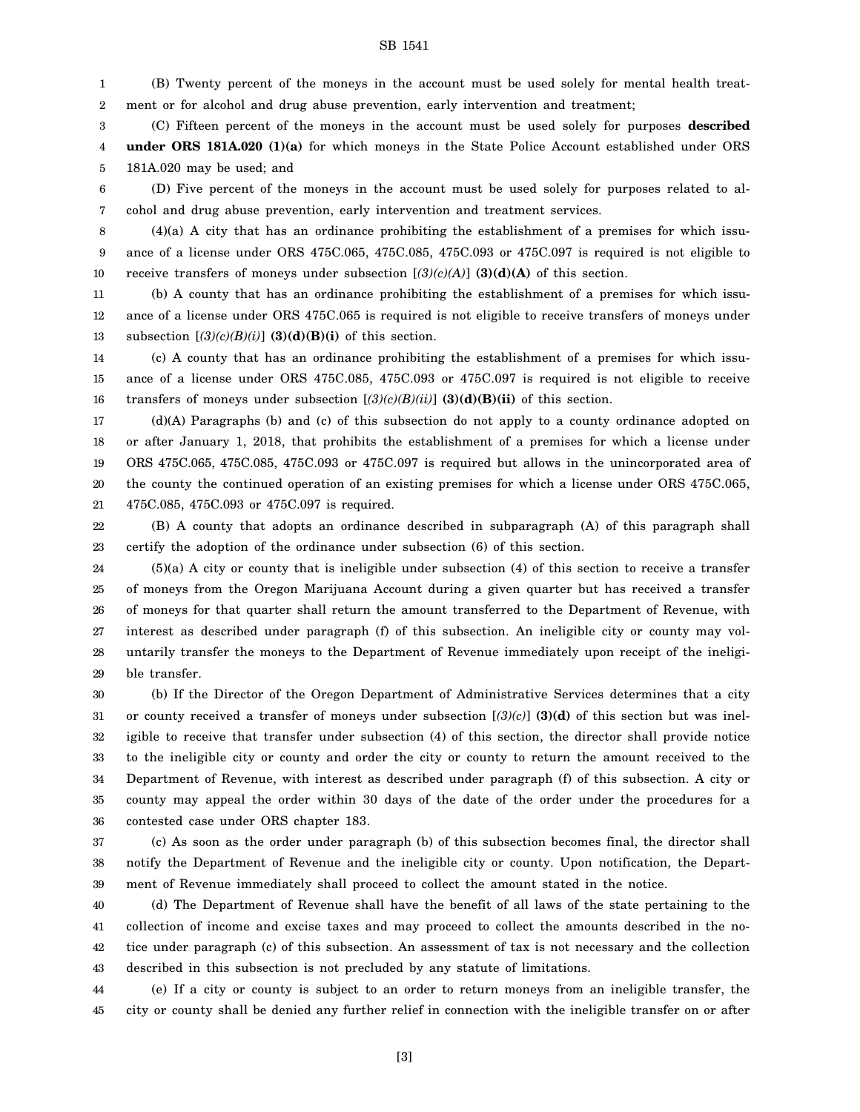## SB 1541

1 2 (B) Twenty percent of the moneys in the account must be used solely for mental health treatment or for alcohol and drug abuse prevention, early intervention and treatment;

3 4 5 (C) Fifteen percent of the moneys in the account must be used solely for purposes **described under ORS 181A.020 (1)(a)** for which moneys in the State Police Account established under ORS 181A.020 may be used; and

6 7 (D) Five percent of the moneys in the account must be used solely for purposes related to alcohol and drug abuse prevention, early intervention and treatment services.

8 9 10  $(4)(a)$  A city that has an ordinance prohibiting the establishment of a premises for which issuance of a license under ORS 475C.065, 475C.085, 475C.093 or 475C.097 is required is not eligible to receive transfers of moneys under subsection  $[(3)(c)(A)]$  **(3)(d)(A)** of this section.

11 12 13 (b) A county that has an ordinance prohibiting the establishment of a premises for which issuance of a license under ORS 475C.065 is required is not eligible to receive transfers of moneys under subsection  $[(3)(c)(B)(i)]$  **(3)(d)(B)(i)** of this section.

14 15 16 (c) A county that has an ordinance prohibiting the establishment of a premises for which issuance of a license under ORS 475C.085, 475C.093 or 475C.097 is required is not eligible to receive transfers of moneys under subsection  $[(3)(c)(B)(ii)]$  (3)(d)(B)(ii) of this section.

17 18 19 20 21 (d)(A) Paragraphs (b) and (c) of this subsection do not apply to a county ordinance adopted on or after January 1, 2018, that prohibits the establishment of a premises for which a license under ORS 475C.065, 475C.085, 475C.093 or 475C.097 is required but allows in the unincorporated area of the county the continued operation of an existing premises for which a license under ORS 475C.065, 475C.085, 475C.093 or 475C.097 is required.

22 23 (B) A county that adopts an ordinance described in subparagraph (A) of this paragraph shall certify the adoption of the ordinance under subsection (6) of this section.

24 25 26 27 28 29 (5)(a) A city or county that is ineligible under subsection (4) of this section to receive a transfer of moneys from the Oregon Marijuana Account during a given quarter but has received a transfer of moneys for that quarter shall return the amount transferred to the Department of Revenue, with interest as described under paragraph (f) of this subsection. An ineligible city or county may voluntarily transfer the moneys to the Department of Revenue immediately upon receipt of the ineligible transfer.

30 31 32 33 34 35 36 (b) If the Director of the Oregon Department of Administrative Services determines that a city or county received a transfer of moneys under subsection [*(3)(c)*] **(3)(d)** of this section but was ineligible to receive that transfer under subsection (4) of this section, the director shall provide notice to the ineligible city or county and order the city or county to return the amount received to the Department of Revenue, with interest as described under paragraph (f) of this subsection. A city or county may appeal the order within 30 days of the date of the order under the procedures for a contested case under ORS chapter 183.

37 38 39 (c) As soon as the order under paragraph (b) of this subsection becomes final, the director shall notify the Department of Revenue and the ineligible city or county. Upon notification, the Department of Revenue immediately shall proceed to collect the amount stated in the notice.

40 41 42 43 (d) The Department of Revenue shall have the benefit of all laws of the state pertaining to the collection of income and excise taxes and may proceed to collect the amounts described in the notice under paragraph (c) of this subsection. An assessment of tax is not necessary and the collection described in this subsection is not precluded by any statute of limitations.

44 45 (e) If a city or county is subject to an order to return moneys from an ineligible transfer, the city or county shall be denied any further relief in connection with the ineligible transfer on or after